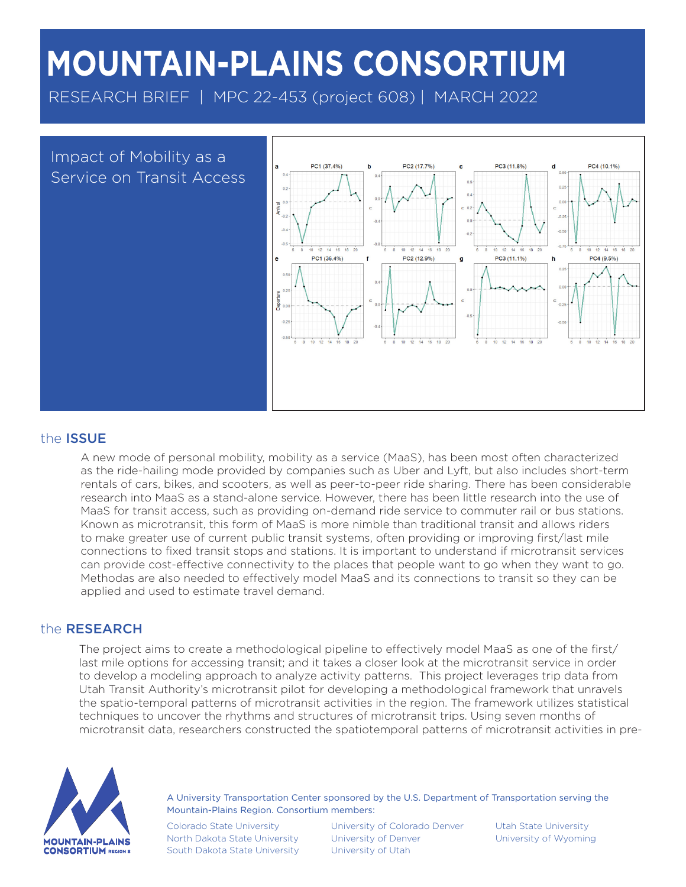# **MOUNTAIN-PLAINS CONSORTIUM**

RESEARCH BRIEF | MPC 22-453 (project 608) | MARCH 2022



## the ISSUE

A new mode of personal mobility, mobility as a service (MaaS), has been most often characterized as the ride-hailing mode provided by companies such as Uber and Lyft, but also includes short-term rentals of cars, bikes, and scooters, as well as peer-to-peer ride sharing. There has been considerable research into MaaS as a stand-alone service. However, there has been little research into the use of MaaS for transit access, such as providing on-demand ride service to commuter rail or bus stations. Known as microtransit, this form of MaaS is more nimble than traditional transit and allows riders to make greater use of current public transit systems, often providing or improving first/last mile connections to fixed transit stops and stations. It is important to understand if microtransit services can provide cost-effective connectivity to the places that people want to go when they want to go. Methodas are also needed to effectively model MaaS and its connections to transit so they can be applied and used to estimate travel demand.

## the RESEARCH

The project aims to create a methodological pipeline to effectively model MaaS as one of the first/ last mile options for accessing transit; and it takes a closer look at the microtransit service in order to develop a modeling approach to analyze activity patterns. This project leverages trip data from Utah Transit Authority's microtransit pilot for developing a methodological framework that unravels the spatio-temporal patterns of microtransit activities in the region. The framework utilizes statistical techniques to uncover the rhythms and structures of microtransit trips. Using seven months of microtransit data, researchers constructed the spatiotemporal patterns of microtransit activities in pre-



A University Transportation Center sponsored by the U.S. Department of Transportation serving the Mountain-Plains Region. Consortium members:

Colorado State University North Dakota State University South Dakota State University

University of Colorado Denver University of Denver University of Utah

Utah State University University of Wyoming